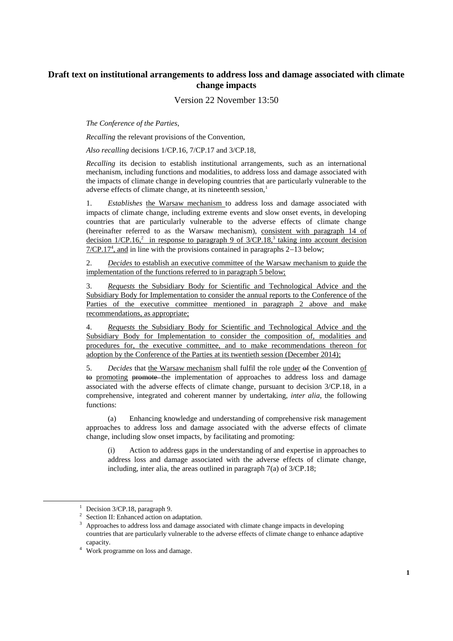## **Draft text on institutional arrangements to address loss and damage associated with climate change impacts**

Version 22 November 13:50

*The Conference of the Parties*,

*Recalling* the relevant provisions of the Convention,

*Also recalling* decisions 1/CP.16, 7/CP.17 and 3/CP.18,

*Recalling* its decision to establish institutional arrangements, such as an international mechanism, including functions and modalities, to address loss and damage associated with the impacts of climate change in developing countries that are particularly vulnerable to the adverse effects of climate change, at its nineteenth session,<sup>1</sup>

1. *Establishes* the Warsaw mechanism to address loss and damage associated with impacts of climate change, including extreme events and slow onset events, in developing countries that are particularly vulnerable to the adverse effects of climate change (hereinafter referred to as the Warsaw mechanism), consistent with paragraph 14 of decision  $1/CP.16$ <sup>2</sup> in response to paragraph 9 of  $3/CP.18$ <sup>3</sup> taking into account decision  $7/CP.17<sup>4</sup>$ , and in line with the provisions contained in paragraphs  $2-13$  below;

2. *Decides* to establish an executive committee of the Warsaw mechanism to guide the implementation of the functions referred to in paragraph 5 below;

3. *Requests* the Subsidiary Body for Scientific and Technological Advice and the Subsidiary Body for Implementation to consider the annual reports to the Conference of the Parties of the executive committee mentioned in paragraph 2 above and make recommendations, as appropriate;

4. *Requests* the Subsidiary Body for Scientific and Technological Advice and the Subsidiary Body for Implementation to consider the composition of, modalities and procedures for, the executive committee, and to make recommendations thereon for adoption by the Conference of the Parties at its twentieth session (December 2014);

5. *Decides* that the Warsaw mechanism shall fulfil the role under of the Convention of to promoting promote the implementation of approaches to address loss and damage associated with the adverse effects of climate change, pursuant to decision 3/CP.18, in a comprehensive, integrated and coherent manner by undertaking, *inter alia*, the following functions:

(a) Enhancing knowledge and understanding of comprehensive risk management approaches to address loss and damage associated with the adverse effects of climate change, including slow onset impacts, by facilitating and promoting:

(i) Action to address gaps in the understanding of and expertise in approaches to address loss and damage associated with the adverse effects of climate change, including, inter alia, the areas outlined in paragraph 7(a) of 3/CP.18;

-

<sup>&</sup>lt;sup>1</sup> Decision  $3$ /CP.18, paragraph 9.

<sup>2</sup> Section II: Enhanced action on adaptation.

<sup>3</sup> Approaches to address loss and damage associated with climate change impacts in developing countries that are particularly vulnerable to the adverse effects of climate change to enhance adaptive capacity.

<sup>&</sup>lt;sup>4</sup> Work programme on loss and damage.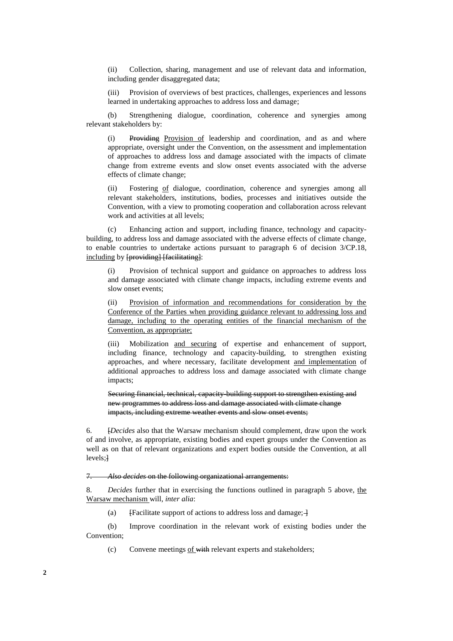(ii) Collection, sharing, management and use of relevant data and information, including gender disaggregated data;

(iii) Provision of overviews of best practices, challenges, experiences and lessons learned in undertaking approaches to address loss and damage;

(b) Strengthening dialogue, coordination, coherence and synergies among relevant stakeholders by:

(i) Providing Provision of leadership and coordination, and as and where appropriate, oversight under the Convention, on the assessment and implementation of approaches to address loss and damage associated with the impacts of climate change from extreme events and slow onset events associated with the adverse effects of climate change;

(ii) Fostering of dialogue, coordination, coherence and synergies among all relevant stakeholders, institutions, bodies, processes and initiatives outside the Convention, with a view to promoting cooperation and collaboration across relevant work and activities at all levels;

(c) Enhancing action and support, including finance, technology and capacitybuilding, to address loss and damage associated with the adverse effects of climate change, to enable countries to undertake actions pursuant to paragraph 6 of decision 3/CP.18, including by [providing] [facilitating]:

(i) Provision of technical support and guidance on approaches to address loss and damage associated with climate change impacts, including extreme events and slow onset events;

(ii) Provision of information and recommendations for consideration by the Conference of the Parties when providing guidance relevant to addressing loss and damage, including to the operating entities of the financial mechanism of the Convention, as appropriate;

(iii) Mobilization and securing of expertise and enhancement of support, including finance, technology and capacity-building, to strengthen existing approaches, and where necessary, facilitate development and implementation of additional approaches to address loss and damage associated with climate change impacts;

Securing financial, technical, capacity-building support to strengthen existing and new programmes to address loss and damage associated with climate change impacts, including extreme weather events and slow onset events;

6. [*Decides* also that the Warsaw mechanism should complement, draw upon the work of and involve, as appropriate, existing bodies and expert groups under the Convention as well as on that of relevant organizations and expert bodies outside the Convention, at all levels;]

7. *Also decides* on the following organizational arrangements:

8. *Decides* further that in exercising the functions outlined in paragraph 5 above, the Warsaw mechanism will, *inter alia*:

(a) [Facilitate support of actions to address loss and damage; $\rightarrow$ 

(b) Improve coordination in the relevant work of existing bodies under the Convention;

(c) Convene meetings of with relevant experts and stakeholders;